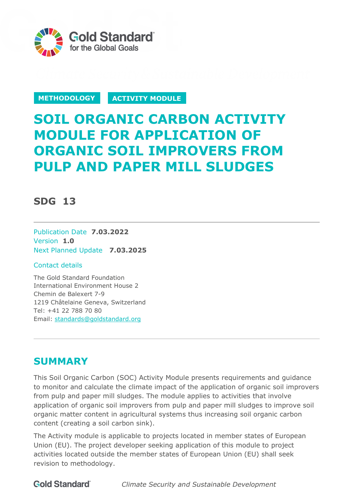

**METHODOLOGY ACTIVITY MODULE** 

# **SOIL ORGANIC CARBON ACTIVITY MODULE FOR APPLICATION OF ORGANIC SOIL IMPROVERS FROM PULP AND PAPER MILL SLUDGES**

# **SDG 13**

Publication Date **7.03.2022** Version **1.0** Next Planned Update **7.03.2025**

# Contact details

The Gold Standard Foundation International Environment House 2 Chemin de Balexert 7-9 1219 Châtelaine Geneva, Switzerland Tel: +41 22 788 70 80 Email: [standards@goldstandard.org](mailto:standards@goldstandard.org)

# **SUMMARY**

This Soil Organic Carbon (SOC) Activity Module presents requirements and guidance to monitor and calculate the climate impact of the application of organic soil improvers from pulp and paper mill sludges. The module applies to activities that involve application of organic soil improvers from pulp and paper mill sludges to improve soil organic matter content in agricultural systems thus increasing soil organic carbon content (creating a soil carbon sink).

The Activity module is applicable to projects located in member states of European Union (EU). The project developer seeking application of this module to project activities located outside the member states of European Union (EU) shall seek revision to methodology.

**Gold Standard** 

*Climate Security and Sustainable Development*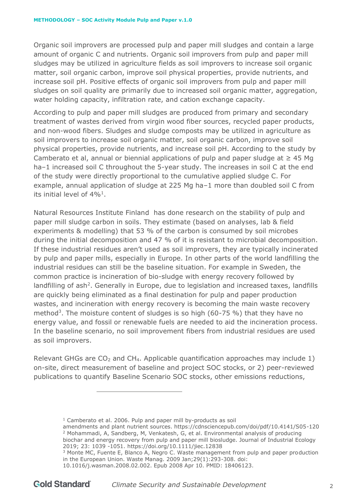Organic soil improvers are processed pulp and paper mill sludges and contain a large amount of organic C and nutrients. Organic soil improvers from pulp and paper mill sludges may be utilized in agriculture fields as soil improvers to increase soil organic matter, soil organic carbon, improve soil physical properties, provide nutrients, and increase soil pH. Positive effects of organic soil improvers from pulp and paper mill sludges on soil quality are primarily due to increased soil organic matter, aggregation, water holding capacity, infiltration rate, and cation exchange capacity.

According to pulp and paper mill sludges are produced from primary and secondary treatment of wastes derived from virgin wood fiber sources, recycled paper products, and non-wood fibers. Sludges and sludge composts may be utilized in agriculture as soil improvers to increase soil organic matter, soil organic carbon, improve soil physical properties, provide nutrients, and increase soil pH. According to the study by Camberato et al, annual or biennial applications of pulp and paper sludge at  $\geq$  45 Mg ha–1 increased soil C throughout the 5-year study. The increases in soil C at the end of the study were directly proportional to the cumulative applied sludge C. For example, annual application of sludge at 225 Mg ha–1 more than doubled soil C from its initial level of  $4\%$ <sup>1</sup>.

Natural Resources Institute Finland has done research on the stability of pulp and paper mill sludge carbon in soils. They estimate (based on analyses, lab & field experiments & modelling) that 53 % of the carbon is consumed by soil microbes during the initial decomposition and 47 % of it is resistant to microbial decomposition. If these industrial residues aren't used as soil improvers, they are typically incinerated by pulp and paper mills, especially in Europe. In other parts of the world landfilling the industrial residues can still be the baseline situation. For example in Sweden, the common practice is incineration of bio-sludge with energy recovery followed by landfilling of ash<sup>2</sup>. Generally in Europe, due to legislation and increased taxes, landfills are quickly being eliminated as a final destination for pulp and paper production wastes, and incineration with energy recovery is becoming the main waste recovery method<sup>3</sup>. The moisture content of sludges is so high (60-75 %) that they have no energy value, and fossil or renewable fuels are needed to aid the incineration process. In the baseline scenario, no soil improvement fibers from industrial residues are used as soil improvers.

Relevant GHGs are  $CO<sub>2</sub>$  and CH<sub>4</sub>. Applicable quantification approaches may include 1) on-site, direct measurement of baseline and project SOC stocks, or 2) peer-reviewed publications to quantify Baseline Scenario SOC stocks, other emissions reductions,

<sup>1</sup> Camberato et al. 2006. Pulp and paper mill by-products as soil

amendments and plant nutrient sources. https://cdnsciencepub.com/doi/pdf/10.4141/S05-120 <sup>2</sup> Mohammadi, A, Sandberg, M, Venkatesh, G, et al. Environmental analysis of producing biochar and energy recovery from pulp and paper mill biosludge. Journal of Industrial Ecology 2019; 23: 1039 -1051.<https://doi.org/10.1111/jiec.12838>

<sup>&</sup>lt;sup>3</sup> Monte MC, Fuente E, Blanco A, Negro C. Waste management from pulp and paper production in the European Union. Waste Manag. 2009 Jan;29(1):293-308. doi:

<sup>10.1016/</sup>j.wasman.2008.02.002. Epub 2008 Apr 10. PMID: 18406123.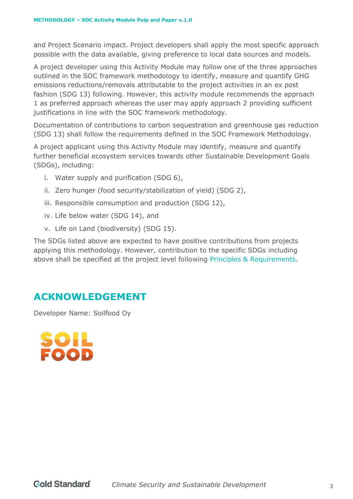and Project Scenario impact. Project developers shall apply the most specific approach possible with the data available, giving preference to local data sources and models.

A project developer using this Activity Module may follow one of the three approaches outlined in the SOC framework methodology to identify, measure and quantify GHG emissions reductions/removals attributable to the project activities in an ex post fashion (SDG 13) following. However, this activity module recommends the approach 1 as preferred approach whereas the user may apply approach 2 providing sufficient justifications in line with the SOC framework methodology.

Documentation of contributions to carbon sequestration and greenhouse gas reduction (SDG 13) shall follow the requirements defined in the SOC Framework Methodology.

A project applicant using this Activity Module may identify, measure and quantify further beneficial ecosystem services towards other Sustainable Development Goals (SDGs), including:

- i. Water supply and purification (SDG 6),
- ii. Zero hunger (food security/stabilization of yield) (SDG 2),
- iii. Responsible consumption and production (SDG 12),
- iv. Life below water (SDG 14), and
- v. Life on Land (biodiversity) (SDG 15).

The SDGs listed above are expected to have positive contributions from projects applying this methodology. However, contribution to the specific SDGs including above shall be specified at the project level following Principles & Requirements.

# **ACKNOWLEDGEMENT**

Developer Name: Soilfood Oy

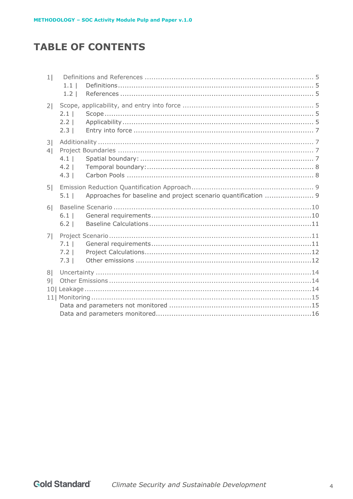# **TABLE OF CONTENTS**

| 1 <sub>1</sub>                   | 1.1 <sub>1</sub><br>1.2   |  |
|----------------------------------|---------------------------|--|
| 2                                | 2.1<br>2.2<br>2.3         |  |
| 3 <br>4                          | $4.1$  <br>$4.2$  <br>4.3 |  |
| 5 <sup>1</sup>                   | $5.1$                     |  |
| 6 <sup>1</sup>                   | 6.1<br>6.2                |  |
| 7 <sup>1</sup>                   | 7.1<br>$7.2$  <br>7.3     |  |
| 8 <sup>1</sup><br>9 <sub>l</sub> |                           |  |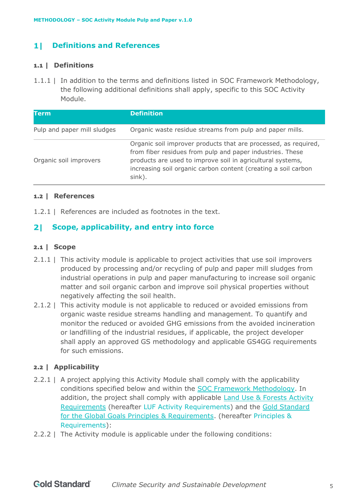#### <span id="page-4-0"></span>**Definitions and References** 11

# <span id="page-4-1"></span>**1.1 | Definitions**

1.1.1 | In addition to the terms and definitions listed in [SOC Framework Methodology,](https://globalgoals.goldstandard.org/402-luf-agr-fm-soil-organic-carbon-framework-methodolgy/) the following additional definitions shall apply, specific to this SOC Activity Module.

| <b>Term</b>                 | <b>Definition</b>                                                                                                                                                                                                                                                      |
|-----------------------------|------------------------------------------------------------------------------------------------------------------------------------------------------------------------------------------------------------------------------------------------------------------------|
| Pulp and paper mill sludges | Organic waste residue streams from pulp and paper mills.                                                                                                                                                                                                               |
| Organic soil improvers      | Organic soil improver products that are processed, as required,<br>from fiber residues from pulp and paper industries. These<br>products are used to improve soil in agricultural systems,<br>increasing soil organic carbon content (creating a soil carbon<br>sink). |

### <span id="page-4-2"></span>**1.2 | References**

1.2.1 | References are included as footnotes in the text.

#### <span id="page-4-3"></span>21 -**Scope, applicability, and entry into force**

### <span id="page-4-4"></span>**2.1 | Scope**

- 2.1.1 | This activity module is applicable to project activities that use soil improvers produced by processing and/or recycling of pulp and paper mill sludges from industrial operations in pulp and paper manufacturing to increase soil organic matter and soil organic carbon and improve soil physical properties without negatively affecting the soil health.
- 2.1.2 | This activity module is not applicable to reduced or avoided emissions from organic waste residue streams handling and management. To quantify and monitor the reduced or avoided GHG emissions from the avoided incineration or landfilling of the industrial residues, if applicable, the project developer shall apply an approved GS methodology and applicable GS4GG requirements for such emissions.

# <span id="page-4-5"></span>**2.2 | Applicability**

- 2.2.1 | A project applying this Activity Module shall comply with the applicability conditions specified below and within the [SOC Framework Methodology.](https://globalgoals.goldstandard.org/402-luf-agr-fm-soil-organic-carbon-framework-methodolgy/) In addition, the project shall comply with applicable **Land Use & Forests Activity** [Requirements](https://globalgoals.goldstandard.org/standards/203_V1.2.1_AR_LUF-Activity-Requirements.pdf) (hereafter LUF Activity Requirements) and the [Gold Standard](https://globalgoals.goldstandard.org/standards/101_V1.2_PAR_Principles-Requirements.pdf)  [for the Global Goals Principles & Requirements.](https://globalgoals.goldstandard.org/standards/101_V1.2_PAR_Principles-Requirements.pdf) (hereafter Principles & Requirements):
- 2.2.2 | The Activity module is applicable under the following conditions: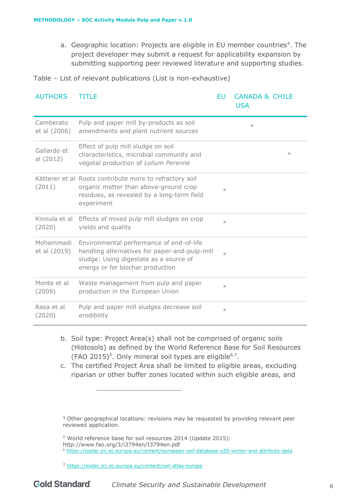a. Geographic location: Projects are eligible in EU member countries<sup>4</sup>. The project developer may submit a request for applicability expansion by submitting supporting peer reviewed literature and supporting studies.

Table – List of relevant publications (List is non-exhaustive)

| <b>AUTHORS</b>            | TITLE                                                                                                                                                                   | EU     | <b>CANADA &amp; CHILE</b><br><b>USA</b> |
|---------------------------|-------------------------------------------------------------------------------------------------------------------------------------------------------------------------|--------|-----------------------------------------|
| Camberato<br>et al (2006) | Pulp and paper mill by-products as soil<br>amendments and plant nutrient sources                                                                                        |        | $\ast$                                  |
| Gallardo et<br>al (2012)  | Effect of pulp mill sludge on soil<br>characteristics, microbial community and<br>vegetal production of Lolium Perenne                                                  |        | $\ast$                                  |
| (2011)                    | Kätterer et al Roots contribute more to refractory soil<br>organic matter than above-ground crop<br>residues, as revealed by a long-term field<br>experiment            | $\ast$ |                                         |
| (2020)                    | Kinnula et al Effects of mixed pulp mill sludges on crop<br>yields and quality                                                                                          | $\ast$ |                                         |
| Mohammadi<br>et al (2019) | Environmental performance of end-of-life<br>handling alternatives for paper-and-pulp-mill<br>sludge: Using digestate as a source of<br>energy or for biochar production | $\ast$ |                                         |
| Monte et al<br>(2009)     | Waste management from pulp and paper<br>production in the European Union                                                                                                | $\ast$ |                                         |
| Rasa et al<br>(2020)      | Pulp and paper mill sludges decrease soil<br>erodibility                                                                                                                | $\ast$ |                                         |

- b. Soil type: Project Area(s) shall not be comprised of organic soils (Histosols) as defined by the World Reference Base for Soil Resources (FAO 2015)<sup>5</sup>. Only mineral soil types are eligible<sup>6,7</sup>.
- c. The certified Project Area shall be limited to eligible areas, excluding riparian or other buffer zones located within such eligible areas, and

<sup>4</sup> Other geographical locations: revisions may be requested by providing relevant peer reviewed application.

<sup>5</sup> World reference base for soil resources 2014 (Update 2015):

http://www.fao.org/3/i3794en/I3794en.pdf

<sup>6</sup> <https://esdac.jrc.ec.europa.eu/content/european-soil-database-v20-vector-and-attribute-data>

<sup>7</sup> <https://esdac.jrc.ec.europa.eu/content/soil-atlas-europe>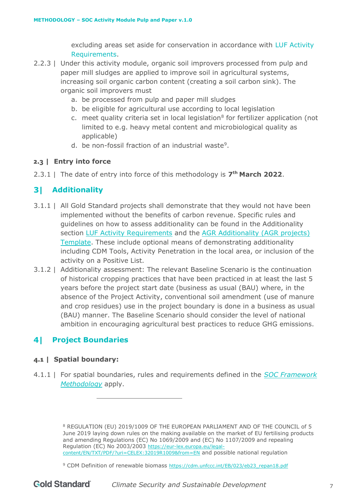excluding areas set aside for conservation in accordance with LUF Activity Requirements.

- 2.2.3 | Under this activity module, organic soil improvers processed from pulp and paper mill sludges are applied to improve soil in agricultural systems, increasing soil organic carbon content (creating a soil carbon sink). The organic soil improvers must
	- a. be processed from pulp and paper mill sludges
	- b. be eligible for agricultural use according to local legislation
	- c. meet quality criteria set in local legislation $8$  for fertilizer application (not limited to e.g. heavy metal content and microbiological quality as applicable)
	- d. be non-fossil fraction of an industrial waste<sup>9</sup>.

# <span id="page-6-0"></span>**2.3 | Entry into force**

2.3.1 | The date of entry into force of this methodology is **7 th March 2022**.

#### <span id="page-6-1"></span>31 -**Additionality**

- 3.1.1 | All Gold Standard projects shall demonstrate that they would not have been implemented without the benefits of carbon revenue. Specific rules and guidelines on how to assess additionality can be found in the Additionality section [LUF Activity Requirements](https://globalgoals.goldstandard.org/standards/203_V1.2.1_AR_LUF-Activity-Requirements.pdf) and the AGR Additionality (AGR projects) [Template.](https://globalgoals.goldstandard.org/standards/203_V1.0_AR_LUF-Acitivity-requirement_AGR-Additionality-Template.docx) These include optional means of demonstrating additionality including CDM Tools, Activity Penetration in the local area, or inclusion of the activity on a Positive List.
- 3.1.2 | Additionality assessment: The relevant Baseline Scenario is the continuation of historical cropping practices that have been practiced in at least the last 5 years before the project start date (business as usual (BAU) where, in the absence of the Project Activity, conventional soil amendment (use of manure and crop residues) use in the project boundary is done in a business as usual (BAU) manner. The Baseline Scenario should consider the level of national ambition in encouraging agricultural best practices to reduce GHG emissions.

#### <span id="page-6-2"></span>41 **Project Boundaries**

# <span id="page-6-3"></span>**4.1 | Spatial boundary:**

4.1.1 | For spatial boundaries, rules and requirements defined in the *[SOC Framework](https://globalgoals.goldstandard.org/402-luf-agr-fm-soil-organic-carbon-framework-methodolgy/)  [Methodology](https://globalgoals.goldstandard.org/402-luf-agr-fm-soil-organic-carbon-framework-methodolgy/)* apply.

> <sup>8</sup> REGULATION (EU) 2019/1009 OF THE EUROPEAN PARLIAMENT AND OF THE COUNCIL of 5 June 2019 laying down rules on the making available on the market of EU fertilising products and amending Regulations (EC) No 1069/2009 and (EC) No 1107/2009 and repealing Regulation (EC) No 2003/2003 [https://eur-lex.europa.eu/legal](https://eur-lex.europa.eu/legal-content/EN/TXT/PDF/?uri=CELEX:32019R1009&from=EN)[content/EN/TXT/PDF/?uri=CELEX:32019R1009&from=EN](https://eur-lex.europa.eu/legal-content/EN/TXT/PDF/?uri=CELEX:32019R1009&from=EN) and possible national regulation

<sup>&</sup>lt;sup>9</sup> CDM Definition of renewable biomass [https://cdm.unfccc.int/EB/023/eb23\\_repan18.pdf](https://cdm.unfccc.int/EB/023/eb23_repan18.pdf)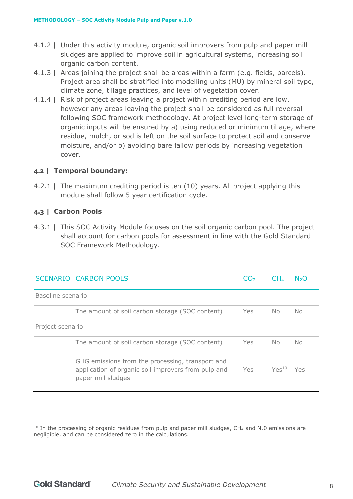- 4.1.2 | Under this activity module, organic soil improvers from pulp and paper mill sludges are applied to improve soil in agricultural systems, increasing soil organic carbon content.
- 4.1.3 | Areas joining the project shall be areas within a farm (e.g. fields, parcels). Project area shall be stratified into modelling units (MU) by mineral soil type, climate zone, tillage practices, and level of vegetation cover.
- 4.1.4 | Risk of project areas leaving a project within crediting period are low, however any areas leaving the project shall be considered as full reversal following SOC framework methodology. At project level long-term storage of organic inputs will be ensured by a) using reduced or minimum tillage, where residue, mulch, or sod is left on the soil surface to protect soil and conserve moisture, and/or b) avoiding bare fallow periods by increasing vegetation cover.

### <span id="page-7-0"></span>**4.2 | Temporal boundary:**

4.2.1 | The maximum crediting period is ten (10) years. All project applying this module shall follow 5 year certification cycle.

### <span id="page-7-1"></span>**4.3 | Carbon Pools**

4.3.1 | This SOC Activity Module focuses on the soil organic carbon pool. The project shall account for carbon pools for assessment in line with the Gold Standard SOC Framework Methodology.

|                   | SCENARIO CARBON POOLS                                                                                                         |      | CH4               | N5O |
|-------------------|-------------------------------------------------------------------------------------------------------------------------------|------|-------------------|-----|
| Baseline scenario |                                                                                                                               |      |                   |     |
|                   | The amount of soil carbon storage (SOC content)                                                                               | Yes  | No.               | No. |
| Project scenario  |                                                                                                                               |      |                   |     |
|                   | The amount of soil carbon storage (SOC content)                                                                               | Yes  | No.               | No. |
|                   | GHG emissions from the processing, transport and<br>application of organic soil improvers from pulp and<br>paper mill sludges | Yes. | Yes <sup>10</sup> | Yes |

<sup>&</sup>lt;sup>10</sup> In the processing of organic residues from pulp and paper mill sludges, CH<sub>4</sub> and N<sub>2</sub>0 emissions are negligible, and can be considered zero in the calculations.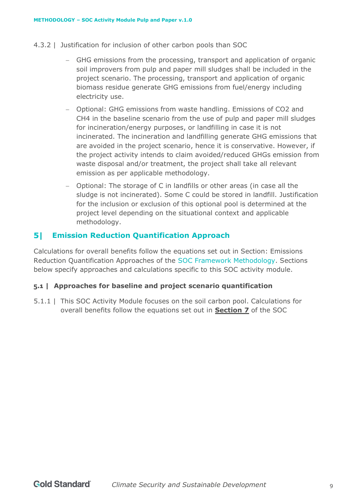- 4.3.2 | Justification for inclusion of other carbon pools than SOC
	- − GHG emissions from the processing, transport and application of organic soil improvers from pulp and paper mill sludges shall be included in the project scenario. The processing, transport and application of organic biomass residue generate GHG emissions from fuel/energy including electricity use.
	- − Optional: GHG emissions from waste handling. Emissions of CO2 and CH4 in the baseline scenario from the use of pulp and paper mill sludges for incineration/energy purposes, or landfilling in case it is not incinerated. The incineration and landfilling generate GHG emissions that are avoided in the project scenario, hence it is conservative. However, if the project activity intends to claim avoided/reduced GHGs emission from waste disposal and/or treatment, the project shall take all relevant emission as per applicable methodology.
	- − Optional: The storage of C in landfills or other areas (in case all the sludge is not incinerated). Some C could be stored in landfill. Justification for the inclusion or exclusion of this optional pool is determined at the project level depending on the situational context and applicable methodology.

#### <span id="page-8-0"></span>51 **Emission Reduction Quantification Approach**

Calculations for overall benefits follow the equations set out in Section: Emissions Reduction Quantification Approaches of the SOC Framework Methodology. Sections below specify approaches and calculations specific to this SOC activity module.

# <span id="page-8-1"></span>**5.1 | Approaches for baseline and project scenario quantification**

5.1.1 | This SOC Activity Module focuses on the soil carbon pool. Calculations for overall benefits follow the equations set out in **Section 7** of the SOC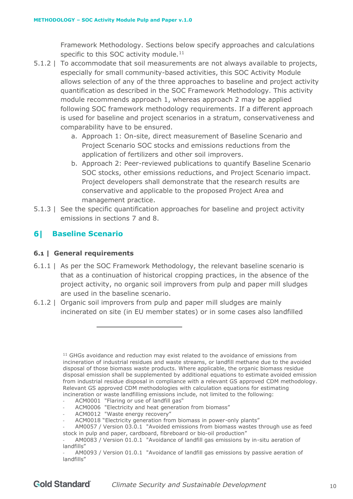Framework Methodology. Sections below specify approaches and calculations specific to this SOC activity module.<sup>11</sup>

- 5.1.2 | To accommodate that soil measurements are not always available to projects, especially for small community-based activities, this SOC Activity Module allows selection of any of the three approaches to baseline and project activity quantification as described in the SOC Framework Methodology. This activity module recommends approach 1, whereas approach 2 may be applied following SOC framework methodology requirements. If a different approach is used for baseline and project scenarios in a stratum, conservativeness and comparability have to be ensured.
	- a. Approach 1: On-site, direct measurement of Baseline Scenario and Project Scenario SOC stocks and emissions reductions from the application of fertilizers and other soil improvers.
	- b. Approach 2: Peer-reviewed publications to quantify Baseline Scenario SOC stocks, other emissions reductions, and Project Scenario impact. Project developers shall demonstrate that the research results are conservative and applicable to the proposed Project Area and management practice.
- 5.1.3 | See the specific quantification approaches for baseline and project activity emissions in sections 7 and 8.

#### <span id="page-9-0"></span>**Baseline Scenario** 61 -

# <span id="page-9-1"></span>**6.1 | General requirements**

- 6.1.1 | As per the SOC Framework Methodology, the relevant baseline scenario is that as a continuation of historical cropping practices, in the absence of the project activity, no organic soil improvers from pulp and paper mill sludges are used in the baseline scenario.
- 6.1.2 | Organic soil improvers from pulp and paper mill sludges are mainly incinerated on site (in EU member states) or in some cases also landfilled

ACM0001 "Flaring or use of landfill gas"

- ACM0012 "Waste energy recovery"
- ACM0018 "Electricity generation from biomass in power-only plants"

<sup>&</sup>lt;sup>11</sup> GHGs avoidance and reduction may exist related to the avoidance of emissions from incineration of industrial residues and waste streams, or landfill methane due to the avoided disposal of those biomass waste products. Where applicable, the organic biomass residue disposal emission shall be supplemented by additional equations to estimate avoided emission from industrial residue disposal in compliance with a relevant GS approved CDM methodology. Relevant GS approved CDM methodologies with calculation equations for estimating incineration or waste landfilling emissions include, not limited to the following:

ACM0006 "Electricity and heat generation from biomass"

<sup>-</sup> AM0057 / Version 03.0.1 "Avoided emissions from biomass wastes through use as feed stock in pulp and paper, cardboard, fibreboard or bio-oil production"

<sup>-</sup> AM0083 / Version 01.0.1 "Avoidance of landfill gas emissions by in-situ aeration of landfills"

<sup>-</sup> AM0093 / Version 01.0.1 "Avoidance of landfill gas emissions by passive aeration of landfills"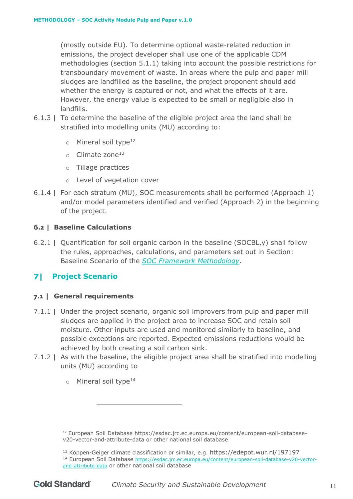(mostly outside EU). To determine optional waste-related reduction in emissions, the project developer shall use one of the applicable CDM methodologies (section 5.1.1) taking into account the possible restrictions for transboundary movement of waste. In areas where the pulp and paper mill sludges are landfilled as the baseline, the project proponent should add whether the energy is captured or not, and what the effects of it are. However, the energy value is expected to be small or negligible also in landfills.

- 6.1.3 | To determine the baseline of the eligible project area the land shall be stratified into modelling units (MU) according to:
	- o Mineral soil type<sup>12</sup>
	- $\circ$  Climate zone<sup>13</sup>
	- o Tillage practices
	- o Level of vegetation cover
- 6.1.4 | For each stratum (MU), SOC measurements shall be performed (Approach 1) and/or model parameters identified and verified (Approach 2) in the beginning of the project.

# <span id="page-10-0"></span>**6.2 | Baseline Calculations**

6.2.1 | Quantification for soil organic carbon in the baseline (SOCBL,y) shall follow the rules, approaches, calculations, and parameters set out in Section: Baseline Scenario of the *[SOC Framework Methodology](https://globalgoals.goldstandard.org/402-luf-agr-fm-soil-organic-carbon-framework-methodolgy/)*.

# <span id="page-10-1"></span>**Project Scenario**

# <span id="page-10-2"></span>**7.1 | General requirements**

- 7.1.1 | Under the project scenario, organic soil improvers from pulp and paper mill sludges are applied in the project area to increase SOC and retain soil moisture. Other inputs are used and monitored similarly to baseline, and possible exceptions are reported. Expected emissions reductions would be achieved by both creating a soil carbon sink.
- 7.1.2 | As with the baseline, the eligible project area shall be stratified into modelling units (MU) according to
	- $\circ$  Mineral soil type<sup>14</sup>

<sup>&</sup>lt;sup>12</sup> European Soil Database [https://esdac.jrc.ec.europa.eu/content/european-soil-database](https://esdac.jrc.ec.europa.eu/content/european-soil-database-v20-vector-and-attribute-data)[v20-vector-and-attribute-data](https://esdac.jrc.ec.europa.eu/content/european-soil-database-v20-vector-and-attribute-data) or other national soil database

<sup>13</sup> Köppen-Geiger climate classification or similar, e.g. <https://edepot.wur.nl/197197> <sup>14</sup> European Soil Database [https://esdac.jrc.ec.europa.eu/content/european-soil-database-v20-vector](https://esdac.jrc.ec.europa.eu/content/european-soil-database-v20-vector-and-attribute-data)[and-attribute-data](https://esdac.jrc.ec.europa.eu/content/european-soil-database-v20-vector-and-attribute-data) or other national soil database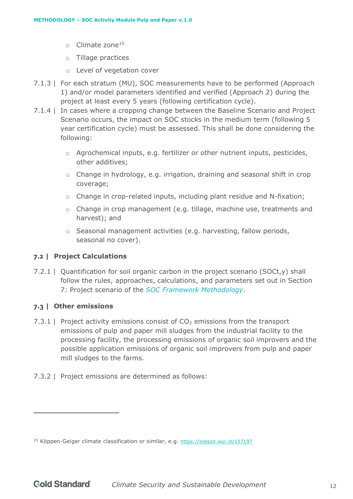- $\circ$  Climate zone<sup>15</sup>
- o Tillage practices
- o Level of vegetation cover
- 7.1.3 | For each stratum (MU), SOC measurements have to be performed (Approach 1) and/or model parameters identified and verified (Approach 2) during the project at least every 5 years (following certification cycle).
- 7.1.4 | In cases where a cropping change between the Baseline Scenario and Project Scenario occurs, the impact on SOC stocks in the medium term (following 5 year certification cycle) must be assessed. This shall be done considering the following:
	- $\circ$  Agrochemical inputs, e.g. fertilizer or other nutrient inputs, pesticides, other additives;
	- $\circ$  Change in hydrology, e.g. irrigation, draining and seasonal shift in crop coverage;
	- o Change in crop-related inputs, including plant residue and N-fixation;
	- $\circ$  Change in crop management (e.g. tillage, machine use, treatments and harvest); and
	- o Seasonal management activities (e.g. harvesting, fallow periods, seasonal no cover).

# <span id="page-11-0"></span>**7.2 | Project Calculations**

7.2.1 | Quantification for soil organic carbon in the project scenario (SOCt,y) shall follow the rules, approaches, calculations, and parameters set out in Section 7: Project scenario of the *SOC Framework Methodology*.

# <span id="page-11-1"></span>**7.3 | Other emissions**

- 7.3.1 | Project activity emissions consist of  $CO<sub>2</sub>$  emissions from the transport emissions of pulp and paper mill sludges from the industrial facility to the processing facility, the processing emissions of organic soil improvers and the possible application emissions of organic soil improvers from pulp and paper mill sludges to the farms.
- 7.3.2 | Project emissions are determined as follows:

<sup>15</sup> Köppen-Geiger climate classification or similar, e.g. <https://edepot.wur.nl/197197>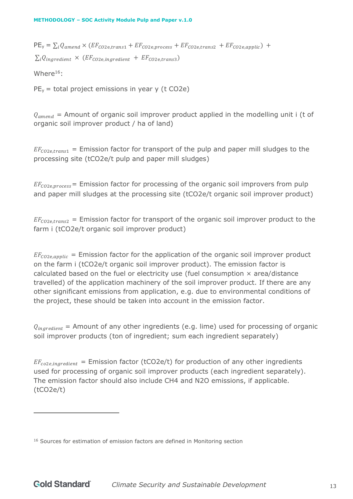$PE_y = \sum_i Q_{amend} \times (EF_{CO2e, trans1} + EF_{CO2e, process} + EF_{CO2e, trans2} + EF_{CO2e, applylic}) +$  $\sum_{i} Q_{inaredient} \times (EF_{CO2e.inaredient} + EF_{CO2e, trans3})$ 

Where<sup>16</sup>:

 $PE<sub>y</sub>$  = total project emissions in year y (t CO2e)

 $Q_{amend}$  = Amount of organic soil improver product applied in the modelling unit i (t of organic soil improver product / ha of land)

 $EF_{co2e, trans1}$  = Emission factor for transport of the pulp and paper mill sludges to the processing site (tCO2e/t pulp and paper mill sludges)

 $EF_{CO2e, process}$  = Emission factor for processing of the organic soil improvers from pulp and paper mill sludges at the processing site (tCO2e/t organic soil improver product)

 $EF_{co2e, trans2}$  = Emission factor for transport of the organic soil improver product to the farm i (tCO2e/t organic soil improver product)

 $EF_{CO2e, applyic}$  = Emission factor for the application of the organic soil improver product on the farm i (tCO2e/t organic soil improver product). The emission factor is calculated based on the fuel or electricity use (fuel consumption  $\times$  area/distance travelled) of the application machinery of the soil improver product. If there are any other significant emissions from application, e.g. due to environmental conditions of the project, these should be taken into account in the emission factor.

 $Q_{inaredient}$  = Amount of any other ingredients (e.g. lime) used for processing of organic soil improver products (ton of ingredient; sum each ingredient separately)

 $EF_{co2e, ingredient}$  = Emission factor (tCO2e/t) for production of any other ingredients used for processing of organic soil improver products (each ingredient separately). The emission factor should also include CH4 and N2O emissions, if applicable. (tCO2e/t)

<sup>&</sup>lt;sup>16</sup> Sources for estimation of emission factors are defined in Monitoring section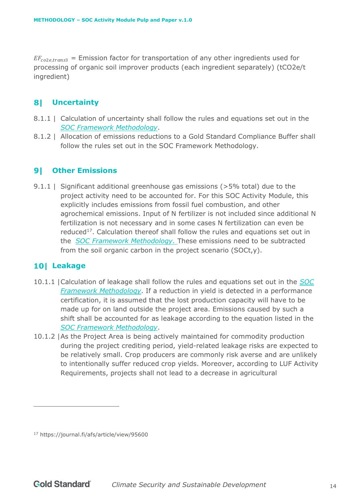$EF_{co2e, trans3}$  = Emission factor for transportation of any other ingredients used for processing of organic soil improver products (each ingredient separately) (tCO2e/t ingredient)

# <span id="page-13-0"></span>**Uncertainty**

- 8.1.1 | Calculation of uncertainty shall follow the rules and equations set out in the *[SOC Framework Methodology](https://globalgoals.goldstandard.org/402-luf-agr-fm-soil-organic-carbon-framework-methodolgy/)*.
- 8.1.2 | Allocation of emissions reductions to a Gold Standard Compliance Buffer shall follow the rules set out in the SOC Framework Methodology.

# <span id="page-13-1"></span>**Other Emissions**

9.1.1 | Significant additional greenhouse gas emissions (>5% total) due to the project activity need to be accounted for. For this SOC Activity Module, this explicitly includes emissions from fossil fuel combustion, and other agrochemical emissions. Input of N fertilizer is not included since additional N fertilization is not necessary and in some cases N fertilization can even be reduced<sup>17</sup>. Calculation thereof shall follow the rules and equations set out in the *[SOC Framework Methodology.](https://globalgoals.goldstandard.org/402-luf-agr-fm-soil-organic-carbon-framework-methodolgy/)* These emissions need to be subtracted from the soil organic carbon in the project scenario (SOCt,y).

# <span id="page-13-2"></span>**Leakage**

- 10.1.1 |Calculation of leakage shall follow the rules and equations set out in the *[SOC](https://globalgoals.goldstandard.org/402-luf-agr-fm-soil-organic-carbon-framework-methodolgy/)  [Framework Methodology](https://globalgoals.goldstandard.org/402-luf-agr-fm-soil-organic-carbon-framework-methodolgy/)*. If a reduction in yield is detected in a performance certification, it is assumed that the lost production capacity will have to be made up for on land outside the project area. Emissions caused by such a shift shall be accounted for as leakage according to the equation listed in the *[SOC Framework Methodology](https://globalgoals.goldstandard.org/402-luf-agr-fm-soil-organic-carbon-framework-methodolgy/)*.
- 10.1.2 |As the Project Area is being actively maintained for commodity production during the project crediting period, yield-related leakage risks are expected to be relatively small. Crop producers are commonly risk averse and are unlikely to intentionally suffer reduced crop yields. Moreover, according to LUF Activity Requirements, projects shall not lead to a decrease in agricultural

<sup>17</sup> https://journal.fi/afs/article/view/95600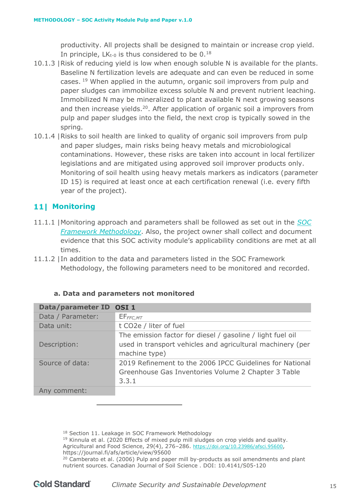productivity. All projects shall be designed to maintain or increase crop yield. In principle, LK<sub>t-0</sub> is thus considered to be  $0.^{18}$ 

- 10.1.3 |Risk of reducing yield is low when enough soluble N is available for the plants. Baseline N fertilization levels are adequate and can even be reduced in some cases. <sup>19</sup> When applied in the autumn, organic soil improvers from pulp and paper sludges can immobilize excess soluble N and prevent nutrient leaching. Immobilized N may be mineralized to plant available N next growing seasons and then increase yields.<sup>20</sup>. After application of organic soil a improvers from pulp and paper sludges into the field, the next crop is typically sowed in the spring.
- 10.1.4 |Risks to soil health are linked to quality of organic soil improvers from pulp and paper sludges, main risks being heavy metals and microbiological contaminations. However, these risks are taken into account in local fertilizer legislations and are mitigated using approved soil improver products only. Monitoring of soil health using heavy metals markers as indicators (parameter ID 15) is required at least once at each certification renewal (i.e. every fifth year of the project).

# <span id="page-14-0"></span>**11** Monitoring

- 11.1.1 |Monitoring approach and parameters shall be followed as set out in the *[SOC](https://globalgoals.goldstandard.org/402-luf-agr-fm-soil-organic-carbon-framework-methodolgy/)  [Framework Methodology](https://globalgoals.goldstandard.org/402-luf-agr-fm-soil-organic-carbon-framework-methodolgy/)*. Also, the project owner shall collect and document evidence that this SOC activity module's applicability conditions are met at all times.
- 11.1.2 |In addition to the data and parameters listed in the SOC Framework Methodology, the following parameters need to be monitored and recorded.

<span id="page-14-1"></span>

| Data/parameter ID | OSI <sub>1</sub>                                                                                                                          |
|-------------------|-------------------------------------------------------------------------------------------------------------------------------------------|
| Data / Parameter: | EF <sub>FFC,MT</sub>                                                                                                                      |
| Data unit:        | t CO2e / liter of fuel                                                                                                                    |
| Description:      | The emission factor for diesel / gasoline / light fuel oil<br>used in transport vehicles and agricultural machinery (per<br>machine type) |
| Source of data:   | 2019 Refinement to the 2006 IPCC Guidelines for National<br>Greenhouse Gas Inventories Volume 2 Chapter 3 Table<br>3.3.1                  |
| Any comment:      |                                                                                                                                           |

# **a. Data and parameters not monitored**

18 Section 11. Leakage in SOC Framework Methodology

 $19$  Kinnula et al. (2020 Effects of mixed pulp mill sludges on crop yields and quality. Agricultural and Food Science, 29(4), 276–286. <https://doi.org/10.23986/afsci.95600>, https://journal.fi/afs/article/view/95600

 $20$  Camberato et al. (2006) Pulp and paper mill by-products as soil amendments and plant nutrient sources. Canadian Journal of Soil Science . DOI: 10.4141/S05-120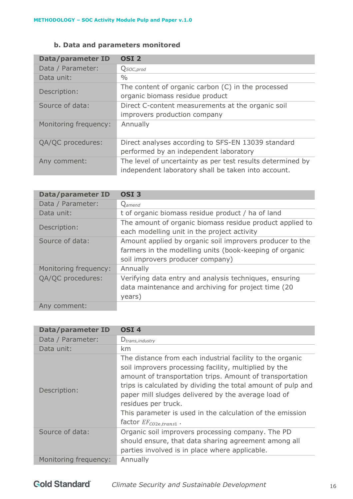# **b. Data and parameters monitored**

<span id="page-15-0"></span>

| <b>Data/parameter ID</b> | OSI <sub>2</sub>                                                                                                  |
|--------------------------|-------------------------------------------------------------------------------------------------------------------|
| Data / Parameter:        | Q <sub>SOC, prod</sub>                                                                                            |
| Data unit:               | $\frac{0}{0}$                                                                                                     |
| Description:             | The content of organic carbon $(C)$ in the processed                                                              |
|                          | organic biomass residue product                                                                                   |
| Source of data:          | Direct C-content measurements at the organic soil                                                                 |
|                          | improvers production company                                                                                      |
| Monitoring frequency:    | Annually                                                                                                          |
| QA/QC procedures:        | Direct analyses according to SFS-EN 13039 standard                                                                |
|                          | performed by an independent laboratory                                                                            |
| Any comment:             | The level of uncertainty as per test results determined by<br>independent laboratory shall be taken into account. |

| Data/parameter ID     | OSI <sub>3</sub>                                                                                                                                        |
|-----------------------|---------------------------------------------------------------------------------------------------------------------------------------------------------|
| Data / Parameter:     | Q <sub>amend</sub>                                                                                                                                      |
| Data unit:            | t of organic biomass residue product / ha of land                                                                                                       |
| Description:          | The amount of organic biomass residue product applied to<br>each modelling unit in the project activity                                                 |
| Source of data:       | Amount applied by organic soil improvers producer to the<br>farmers in the modelling units (book-keeping of organic<br>soil improvers producer company) |
| Monitoring frequency: | Annually                                                                                                                                                |
| QA/QC procedures:     | Verifying data entry and analysis techniques, ensuring<br>data maintenance and archiving for project time (20<br>years)                                 |
| Any comment:          |                                                                                                                                                         |

| <b>Data/parameter ID</b> | OSI <sub>4</sub>                                                                                                                                                                                                                                                                                                                                                                                                          |
|--------------------------|---------------------------------------------------------------------------------------------------------------------------------------------------------------------------------------------------------------------------------------------------------------------------------------------------------------------------------------------------------------------------------------------------------------------------|
| Data / Parameter:        | $D_{trans, industry}$                                                                                                                                                                                                                                                                                                                                                                                                     |
| Data unit:               | km                                                                                                                                                                                                                                                                                                                                                                                                                        |
| Description:             | The distance from each industrial facility to the organic<br>soil improvers processing facility, multiplied by the<br>amount of transportation trips. Amount of transportation<br>trips is calculated by dividing the total amount of pulp and<br>paper mill sludges delivered by the average load of<br>residues per truck.<br>This parameter is used in the calculation of the emission<br>factor $EF_{CO2e, trans1}$ . |
| Source of data:          | Organic soil improvers processing company. The PD<br>should ensure, that data sharing agreement among all<br>parties involved is in place where applicable.                                                                                                                                                                                                                                                               |
| Monitoring frequency:    | Annually                                                                                                                                                                                                                                                                                                                                                                                                                  |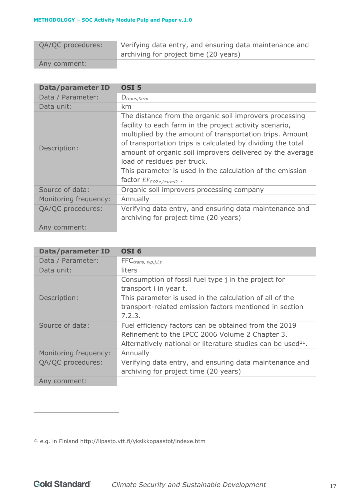| QA/QC procedures: | Verifying data entry, and ensuring data maintenance and |
|-------------------|---------------------------------------------------------|
|                   | archiving for project time (20 years)                   |
| Any comment:      |                                                         |

| Data/parameter ID     | OSI <sub>5</sub>                                                                                                                                                                                                                                                                                                                                                                                                                       |
|-----------------------|----------------------------------------------------------------------------------------------------------------------------------------------------------------------------------------------------------------------------------------------------------------------------------------------------------------------------------------------------------------------------------------------------------------------------------------|
| Data / Parameter:     | $D_{trans,farm}$                                                                                                                                                                                                                                                                                                                                                                                                                       |
| Data unit:            | km                                                                                                                                                                                                                                                                                                                                                                                                                                     |
| Description:          | The distance from the organic soil improvers processing<br>facility to each farm in the project activity scenario,<br>multiplied by the amount of transportation trips. Amount<br>of transportation trips is calculated by dividing the total<br>amount of organic soil improvers delivered by the average<br>load of residues per truck.<br>This parameter is used in the calculation of the emission<br>factor $EF_{CO2e, trans2}$ . |
| Source of data:       | Organic soil improvers processing company                                                                                                                                                                                                                                                                                                                                                                                              |
| Monitoring frequency: | Annually                                                                                                                                                                                                                                                                                                                                                                                                                               |
| QA/QC procedures:     | Verifying data entry, and ensuring data maintenance and                                                                                                                                                                                                                                                                                                                                                                                |
|                       | archiving for project time (20 years)                                                                                                                                                                                                                                                                                                                                                                                                  |
| Any comment:          |                                                                                                                                                                                                                                                                                                                                                                                                                                        |

| Data/parameter ID     | OSI <sub>6</sub>                                                                                                                                                                                               |
|-----------------------|----------------------------------------------------------------------------------------------------------------------------------------------------------------------------------------------------------------|
| Data / Parameter:     | FFC <sub>trans, wp,j,i,t</sub>                                                                                                                                                                                 |
| Data unit:            | liters                                                                                                                                                                                                         |
| Description:          | Consumption of fossil fuel type j in the project for<br>transport i in year t.<br>This parameter is used in the calculation of all of the<br>transport-related emission factors mentioned in section<br>7.2.3. |
| Source of data:       | Fuel efficiency factors can be obtained from the 2019<br>Refinement to the IPCC 2006 Volume 2 Chapter 3.<br>Alternatively national or literature studies can be used <sup>21</sup> .                           |
| Monitoring frequency: | Annually                                                                                                                                                                                                       |
| QA/QC procedures:     | Verifying data entry, and ensuring data maintenance and<br>archiving for project time (20 years)                                                                                                               |
| Any comment:          |                                                                                                                                                                                                                |

<sup>21</sup> e.g. in Finland http://lipasto.vtt.fi/yksikkopaastot/indexe.htm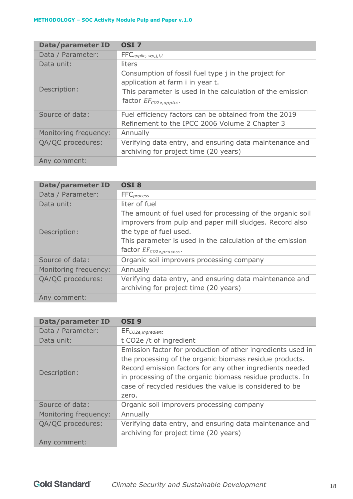| <b>Data/parameter ID</b> | OSI <sub>7</sub>                                                                                                                                                                      |
|--------------------------|---------------------------------------------------------------------------------------------------------------------------------------------------------------------------------------|
| Data / Parameter:        | FFC <sub>applic, wp,j,i,t</sub>                                                                                                                                                       |
| Data unit:               | liters                                                                                                                                                                                |
| Description:             | Consumption of fossil fuel type j in the project for<br>application at farm i in year t.<br>This parameter is used in the calculation of the emission<br>factor $EF_{CO2e, applic}$ . |
| Source of data:          | Fuel efficiency factors can be obtained from the 2019<br>Refinement to the IPCC 2006 Volume 2 Chapter 3                                                                               |
| Monitoring frequency:    | Annually                                                                                                                                                                              |
| QA/QC procedures:        | Verifying data entry, and ensuring data maintenance and<br>archiving for project time (20 years)                                                                                      |
| Any comment:             |                                                                                                                                                                                       |

| Data/parameter ID     | <b>OSI 8</b>                                                                                                                                                                                                                                         |
|-----------------------|------------------------------------------------------------------------------------------------------------------------------------------------------------------------------------------------------------------------------------------------------|
| Data / Parameter:     | <b>FFC</b> <sub>process</sub>                                                                                                                                                                                                                        |
| Data unit:            | liter of fuel                                                                                                                                                                                                                                        |
| Description:          | The amount of fuel used for processing of the organic soil<br>improvers from pulp and paper mill sludges. Record also<br>the type of fuel used.<br>This parameter is used in the calculation of the emission<br>factor EF <sub>CO2e, process</sub> . |
| Source of data:       | Organic soil improvers processing company                                                                                                                                                                                                            |
| Monitoring frequency: | Annually                                                                                                                                                                                                                                             |
| QA/QC procedures:     | Verifying data entry, and ensuring data maintenance and<br>archiving for project time (20 years)                                                                                                                                                     |
| Any comment:          |                                                                                                                                                                                                                                                      |

| <b>Data/parameter ID</b> | OSI <sub>9</sub>                                                                                                                                                                                                                                                                                                    |
|--------------------------|---------------------------------------------------------------------------------------------------------------------------------------------------------------------------------------------------------------------------------------------------------------------------------------------------------------------|
| Data / Parameter:        | EF <sub>CO2e, ingredient</sub>                                                                                                                                                                                                                                                                                      |
| Data unit:               | t CO2e /t of ingredient                                                                                                                                                                                                                                                                                             |
| Description:             | Emission factor for production of other ingredients used in<br>the processing of the organic biomass residue products.<br>Record emission factors for any other ingredients needed<br>in processing of the organic biomass residue products. In<br>case of recycled residues the value is considered to be<br>zero. |
| Source of data:          | Organic soil improvers processing company                                                                                                                                                                                                                                                                           |
| Monitoring frequency:    | Annually                                                                                                                                                                                                                                                                                                            |
| QA/QC procedures:        | Verifying data entry, and ensuring data maintenance and<br>archiving for project time (20 years)                                                                                                                                                                                                                    |
| Any comment:             |                                                                                                                                                                                                                                                                                                                     |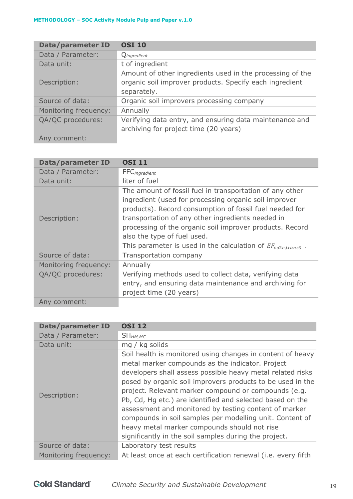| <b>Data/parameter ID</b> | <b>OSI 10</b>                                             |
|--------------------------|-----------------------------------------------------------|
| Data / Parameter:        | Qingredient                                               |
| Data unit:               | t of ingredient                                           |
|                          | Amount of other ingredients used in the processing of the |
| Description:             | organic soil improver products. Specify each ingredient   |
|                          | separately.                                               |
| Source of data:          | Organic soil improvers processing company                 |
| Monitoring frequency:    | Annually                                                  |
| QA/QC procedures:        | Verifying data entry, and ensuring data maintenance and   |
|                          | archiving for project time (20 years)                     |
| Any comment:             |                                                           |

| Data/parameter ID     | <b>OSI 11</b>                                                                                                                                                                                                                                                                                                                                                                                      |
|-----------------------|----------------------------------------------------------------------------------------------------------------------------------------------------------------------------------------------------------------------------------------------------------------------------------------------------------------------------------------------------------------------------------------------------|
| Data / Parameter:     | <b>FFC</b> ingredient                                                                                                                                                                                                                                                                                                                                                                              |
| Data unit:            | liter of fuel                                                                                                                                                                                                                                                                                                                                                                                      |
| Description:          | The amount of fossil fuel in transportation of any other<br>ingredient (used for processing organic soil improver<br>products). Record consumption of fossil fuel needed for<br>transportation of any other ingredients needed in<br>processing of the organic soil improver products. Record<br>also the type of fuel used.<br>This parameter is used in the calculation of $EF_{co2e, trans3}$ . |
| Source of data:       | Transportation company                                                                                                                                                                                                                                                                                                                                                                             |
| Monitoring frequency: | Annually                                                                                                                                                                                                                                                                                                                                                                                           |
| QA/QC procedures:     | Verifying methods used to collect data, verifying data<br>entry, and ensuring data maintenance and archiving for<br>project time (20 years)                                                                                                                                                                                                                                                        |
| Any comment:          |                                                                                                                                                                                                                                                                                                                                                                                                    |

| <b>Data/parameter ID</b> | <b>OSI 12</b>                                                                                                                                                                                                                                                                                                                                                                                                                                                                                                                                                                                 |
|--------------------------|-----------------------------------------------------------------------------------------------------------------------------------------------------------------------------------------------------------------------------------------------------------------------------------------------------------------------------------------------------------------------------------------------------------------------------------------------------------------------------------------------------------------------------------------------------------------------------------------------|
| Data / Parameter:        | SH <sub>HM,MC</sub>                                                                                                                                                                                                                                                                                                                                                                                                                                                                                                                                                                           |
| Data unit:               | mg / kg solids                                                                                                                                                                                                                                                                                                                                                                                                                                                                                                                                                                                |
| Description:             | Soil health is monitored using changes in content of heavy<br>metal marker compounds as the indicator. Project<br>developers shall assess possible heavy metal related risks<br>posed by organic soil improvers products to be used in the<br>project. Relevant marker compound or compounds (e.g.<br>Pb, Cd, Hg etc.) are identified and selected based on the<br>assessment and monitored by testing content of marker<br>compounds in soil samples per modelling unit. Content of<br>heavy metal marker compounds should not rise<br>significantly in the soil samples during the project. |
| Source of data:          | Laboratory test results                                                                                                                                                                                                                                                                                                                                                                                                                                                                                                                                                                       |
| Monitoring frequency:    | At least once at each certification renewal (i.e. every fifth                                                                                                                                                                                                                                                                                                                                                                                                                                                                                                                                 |